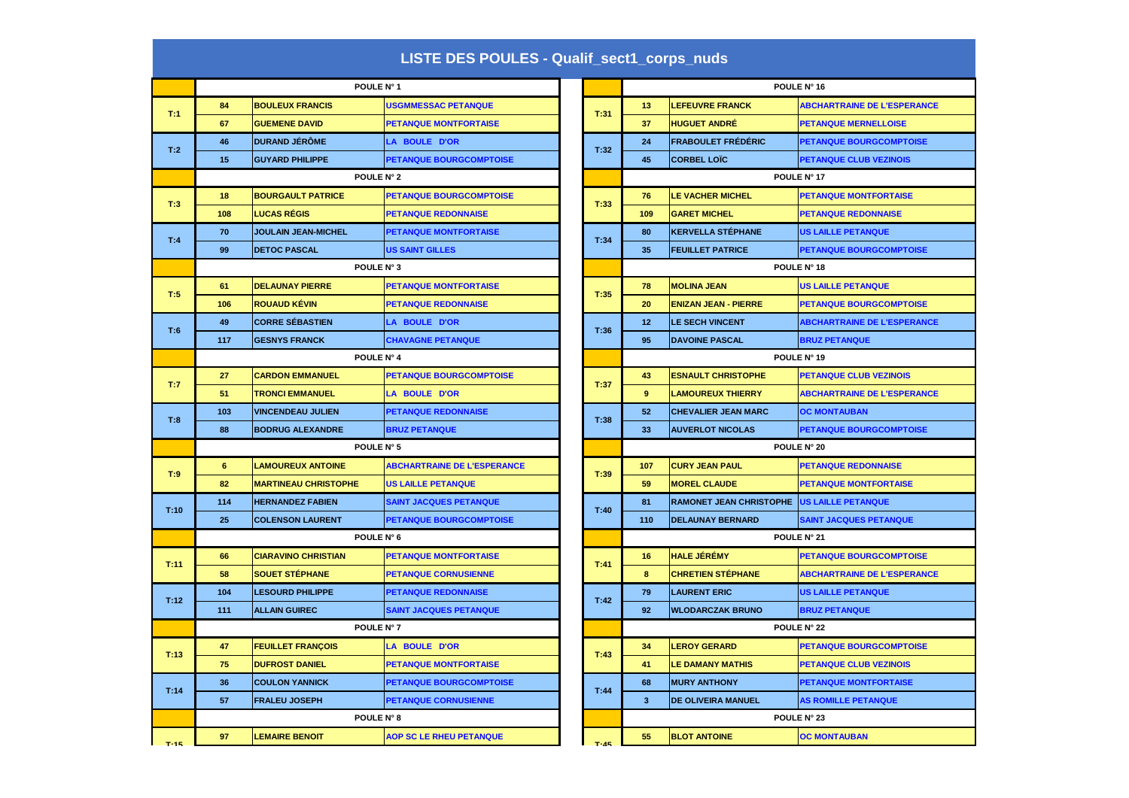## **LISTE DES POULES - Qualif\_sect1\_corps\_nuds**

|      |            | POULE N° 1                  |                                    |        |                         |                                | POULE N° 16                    |  |
|------|------------|-----------------------------|------------------------------------|--------|-------------------------|--------------------------------|--------------------------------|--|
| T:1  | 84         | <b>BOULEUX FRANCIS</b>      | <b>USGMMESSAC PETANQUE</b>         | T:31   | 13                      | <b>LEFEUVRE FRANCK</b>         | <b>ABCHARTRAINE DE L'ESPER</b> |  |
|      | 67         | <b>GUEMENE DAVID</b>        | <b>PETANQUE MONTFORTAISE</b>       |        | 37                      | <b>HUGUET ANDRÉ</b>            | <b>PETANQUE MERNELLOISE</b>    |  |
| T:2  | 46         | <b>DURAND JÉRÔME</b>        | LA BOULE D'OR                      | T:32   | 24                      | <b>FRABOULET FRÉDÉRIC</b>      | <b>PETANQUE BOURGCOMPTC</b>    |  |
|      | 15         | <b>GUYARD PHILIPPE</b>      | <b>PETANQUE BOURGCOMPTOISE</b>     |        | 45                      | <b>CORBEL LOIC</b>             | <b>PETANQUE CLUB VEZINOIS</b>  |  |
|      | POULE N° 2 |                             |                                    |        |                         |                                | POULE N° 17                    |  |
| T:3  | 18         | <b>BOURGAULT PATRICE</b>    | PETANQUE BOURGCOMPTOISE            | T:33   | 76                      | <b>LE VACHER MICHEL</b>        | <b>PETANQUE MONTFORTAISE</b>   |  |
|      | 108        | <b>LUCAS RÉGIS</b>          | <b>PETANQUE REDONNAISE</b>         |        | 109                     | <b>GARET MICHEL</b>            | <b>PETANQUE REDONNAISE</b>     |  |
| T:4  | 70         | <b>JOULAIN JEAN-MICHEL</b>  | <b>PETANQUE MONTFORTAISE</b>       | T:34   | 80                      | <b>KERVELLA STÉPHANE</b>       | <b>US LAILLE PETANQUE</b>      |  |
|      | 99         | <b>DETOC PASCAL</b>         | US SAINT GILLES                    |        | 35                      | <b>FEUILLET PATRICE</b>        | <b>PETANQUE BOURGCOMPTC</b>    |  |
|      | POULE N° 3 |                             |                                    |        |                         |                                | POULE N° 18                    |  |
| T:5  | 61         | <b>DELAUNAY PIERRE</b>      | <b>PETANQUE MONTFORTAISE</b>       | T:35   | 78                      | <b>MOLINA JEAN</b>             | <b>US LAILLE PETANQUE</b>      |  |
|      | 106        | <b>ROUAUD KÉVIN</b>         | <b>PETANQUE REDONNAISE</b>         |        | 20                      | <b>ENIZAN JEAN - PIERRE</b>    | <b>PETANQUE BOURGCOMPTC</b>    |  |
| T:6  | 49         | <b>CORRE SÉBASTIEN</b>      | <b>LA BOULE D'OR</b>               | T:36   | 12                      | <b>LE SECH VINCENT</b>         | <b>ABCHARTRAINE DE L'ESPER</b> |  |
|      | 117        | <b>GESNYS FRANCK</b>        | <b>CHAVAGNE PETANQUE</b>           |        | 95                      | <b>DAVOINE PASCAL</b>          | <b>BRUZ PETANQUE</b>           |  |
|      | POULE N° 4 |                             |                                    |        | POULE N° 19             |                                |                                |  |
| T:7  | 27         | <b>CARDON EMMANUEL</b>      | <b>PETANQUE BOURGCOMPTOISE</b>     | T:37   | 43                      | <b>ESNAULT CHRISTOPHE</b>      | <b>PETANQUE CLUB VEZINOIS</b>  |  |
|      | 51         | <b>TRONCI EMMANUEL</b>      | <b>LA BOULE D'OR</b>               |        | 9                       | <b>LAMOUREUX THIERRY</b>       | <b>ABCHARTRAINE DE L'ESPER</b> |  |
| T:8  | 103        | <b>VINCENDEAU JULIEN</b>    | <b>PETANQUE REDONNAISE</b>         | T:38   | 52                      | <b>CHEVALIER JEAN MARC</b>     | <b>OC MONTAUBAN</b>            |  |
|      | 88         | <b>BODRUG ALEXANDRE</b>     | <b>BRUZ PETANQUE</b>               |        | 33                      | <b>AUVERLOT NICOLAS</b>        | <b>PETANQUE BOURGCOMPTC</b>    |  |
|      | POULE N° 5 |                             |                                    |        | POULE N° 20             |                                |                                |  |
| T:9  | 6          | <b>LAMOUREUX ANTOINE</b>    | <b>ABCHARTRAINE DE L'ESPERANCE</b> | T:39   | 107                     | <b>CURY JEAN PAUL</b>          | <b>PETANQUE REDONNAISE</b>     |  |
|      | 82         | <b>MARTINEAU CHRISTOPHE</b> | <b>US LAILLE PETANQUE</b>          |        | 59                      | <b>MOREL CLAUDE</b>            | <b>PETANQUE MONTFORTAISE</b>   |  |
| T:10 | 114        | <b>HERNANDEZ FABIEN</b>     | <b>SAINT JACQUES PETANQUE</b>      | T:40   | 81                      | <b>RAMONET JEAN CHRISTOPHE</b> | <b>US LAILLE PETANQUE</b>      |  |
|      | 25         | <b>COLENSON LAURENT</b>     | <b>PETANQUE BOURGCOMPTOISE</b>     |        | 110                     | <b>DELAUNAY BERNARD</b>        | <b>SAINT JACQUES PETANQUE</b>  |  |
|      |            | POULE N° 6                  |                                    |        |                         |                                | POULE N° 21                    |  |
| T:11 | 66         | <b>CIARAVINO CHRISTIAN</b>  | <b>PETANQUE MONTFORTAISE</b>       | T:41   | 16                      | <b>HALE JÉRÉMY</b>             | <b>PETANQUE BOURGCOMPTC</b>    |  |
|      | 58         | <b>SOUET STÉPHANE</b>       | <b>PETANQUE CORNUSIENNE</b>        |        | 8                       | <b>CHRETIEN STÉPHANE</b>       | <b>ABCHARTRAINE DE L'ESPER</b> |  |
| T:12 | 104        | <b>LESOURD PHILIPPE</b>     | <b>PETANQUE REDONNAISE</b>         | T:42   | 79                      | <b>LAURENT ERIC</b>            | <b>US LAILLE PETANQUE</b>      |  |
|      | 111        | <b>ALLAIN GUIREC</b>        | <b>SAINT JACQUES PETANQUE</b>      |        | 92                      | <b>WLODARCZAK BRUNO</b>        | <b>BRUZ PETANQUE</b>           |  |
|      |            | POULE N° 7                  |                                    |        |                         |                                | POULE N° 22                    |  |
| T:13 | 47         | <b>FEUILLET FRANÇOIS</b>    | <b>LA BOULE D'OR</b>               | T:43   | 34                      | <b>LEROY GERARD</b>            | <b>PETANQUE BOURGCOMPTC</b>    |  |
|      | 75         | <b>DUFROST DANIEL</b>       | <b>PETANQUE MONTFORTAISE</b>       |        | 41                      | <b>LE DAMANY MATHIS</b>        | <b>PETANQUE CLUB VEZINOIS</b>  |  |
| T:14 | 36         | <b>COULON YANNICK</b>       | <b>PETANQUE BOURGCOMPTOISE</b>     | T:44   | 68                      | <b>MURY ANTHONY</b>            | <b>PETANQUE MONTFORTAISE</b>   |  |
|      | 57         | <b>FRALEU JOSEPH</b>        | <b>PETANQUE CORNUSIENNE</b>        |        | $\overline{\mathbf{3}}$ | DE OLIVEIRA MANUEL             | <b>AS ROMILLE PETANQUE</b>     |  |
|      | POULE N° 8 |                             |                                    |        |                         | POULE N° 23                    |                                |  |
| T-15 | 97         | <b>LEMAIRE BENOIT</b>       | <b>AOP SC LE RHEU PETANQUE</b>     | $T-45$ | 55                      | <b>BLOT ANTOINE</b>            | <b>OC MONTAUBAN</b>            |  |
|      |            |                             |                                    |        |                         |                                |                                |  |

| POULE N° 1 |                             |                                    |      |          | POULE N° 16                    |                             |                                    |  |  |  |
|------------|-----------------------------|------------------------------------|------|----------|--------------------------------|-----------------------------|------------------------------------|--|--|--|
| 84         | <b>BOULEUX FRANCIS</b>      | <b>USGMMESSAC PETANQUE</b>         |      |          | 13                             | <b>LEFEUVRE FRANCK</b>      | <b>ABCHARTRAINE DE L'ESPERANCE</b> |  |  |  |
| 67         | <b>GUEMENE DAVID</b>        | <b>PETANQUE MONTFORTAISE</b>       | T:31 |          | 37                             | <b>HUGUET ANDRÉ</b>         | <b>PETANQUE MERNELLOISE</b>        |  |  |  |
| 46         | <b>DURAND JÉRÔME</b>        | <b>LA BOULE D'OR</b>               |      | T:32     | 24                             | <b>FRABOULET FRÉDÉRIC</b>   | <b>PETANQUE BOURGCOMPTOISE</b>     |  |  |  |
| 15         | <b>GUYARD PHILIPPE</b>      | <b>PETANQUE BOURGCOMPTOISE</b>     |      |          | 45                             | <b>CORBEL LOIC</b>          | <b>PETANQUE CLUB VEZINOIS</b>      |  |  |  |
| POULE N° 2 |                             |                                    |      |          |                                | POULE N° 17                 |                                    |  |  |  |
| 18         | <b>BOURGAULT PATRICE</b>    | <b>PETANQUE BOURGCOMPTOISE</b>     |      | T:33     | 76                             | <b>LE VACHER MICHEL</b>     | <b>PETANQUE MONTFORTAISE</b>       |  |  |  |
| 108        | <b>LUCAS RÉGIS</b>          | <b>PETANQUE REDONNAISE</b>         |      |          | 109                            | <b>GARET MICHEL</b>         | <b>PETANQUE REDONNAISE</b>         |  |  |  |
| 70         | <b>JOULAIN JEAN-MICHEL</b>  | <b>PETANQUE MONTFORTAISE</b>       |      | T:34     | 80                             | <b>KERVELLA STÉPHANE</b>    | <b>US LAILLE PETANQUE</b>          |  |  |  |
| 99         | <b>DETOC PASCAL</b>         | <b>US SAINT GILLES</b>             |      |          | 35                             | <b>FEUILLET PATRICE</b>     | <b>PETANQUE BOURGCOMPTOISE</b>     |  |  |  |
|            | POULE N° 3                  |                                    |      |          | POULE N° 18                    |                             |                                    |  |  |  |
| 61         | <b>DELAUNAY PIERRE</b>      | <b>PETANQUE MONTFORTAISE</b>       |      | T:35     | 78                             | <b>MOLINA JEAN</b>          | <b>US LAILLE PETANQUE</b>          |  |  |  |
| 106        | <b>ROUAUD KÉVIN</b>         | <b>PETANQUE REDONNAISE</b>         |      |          | 20                             | <b>ENIZAN JEAN - PIERRE</b> | <b>PETANQUE BOURGCOMPTOISE</b>     |  |  |  |
| 49         | <b>CORRE SÉBASTIEN</b>      | <b>LA BOULE D'OR</b>               |      | T:36     | 12 <sub>2</sub>                | <b>LE SECH VINCENT</b>      | <b>ABCHARTRAINE DE L'ESPERANCE</b> |  |  |  |
| 117        | <b>GESNYS FRANCK</b>        | <b>CHAVAGNE PETANQUE</b>           |      |          | 95                             | <b>DAVOINE PASCAL</b>       | <b>BRUZ PETANQUE</b>               |  |  |  |
|            | POULE N° 4                  |                                    |      |          | POULE N° 19                    |                             |                                    |  |  |  |
| 27         | <b>CARDON EMMANUEL</b>      | <b>PETANQUE BOURGCOMPTOISE</b>     |      | T:37     | 43                             | <b>ESNAULT CHRISTOPHE</b>   | <b>PETANQUE CLUB VEZINOIS</b>      |  |  |  |
| 51         | <b>TRONCI EMMANUEL</b>      | <b>LA BOULE D'OR</b>               |      |          | 9                              | <b>LAMOUREUX THIERRY</b>    | <b>ABCHARTRAINE DE L'ESPERANCE</b> |  |  |  |
| 103        | <b>VINCENDEAU JULIEN</b>    | <b>PETANQUE REDONNAISE</b>         |      | T:38     | 52                             | <b>CHEVALIER JEAN MARC</b>  | <b>OC MONTAUBAN</b>                |  |  |  |
| 88         | <b>BODRUG ALEXANDRE</b>     | <b>BRUZ PETANQUE</b>               |      |          | 33                             | <b>AUVERLOT NICOLAS</b>     | <b>PETANQUE BOURGCOMPTOISE</b>     |  |  |  |
|            | POULE N° 5                  |                                    |      |          |                                | POULE N° 20                 |                                    |  |  |  |
| 6          | <b>LAMOUREUX ANTOINE</b>    | <b>ABCHARTRAINE DE L'ESPERANCE</b> |      | T:39     | 107                            | <b>CURY JEAN PAUL</b>       | <b>PETANQUE REDONNAISE</b>         |  |  |  |
| 82         | <b>MARTINEAU CHRISTOPHE</b> | <b>US LAILLE PETANQUE</b>          |      |          | 59                             | <b>MOREL CLAUDE</b>         | <b>PETANQUE MONTFORTAISE</b>       |  |  |  |
| 114        | <b>HERNANDEZ FABIEN</b>     | <b>SAINT JACQUES PETANQUE</b>      | T:40 | 81       | <b>RAMONET JEAN CHRISTOPHE</b> | <b>US LAILLE PETANQUE</b>   |                                    |  |  |  |
| 25         | <b>COLENSON LAURENT</b>     | <b>PETANQUE BOURGCOMPTOISE</b>     |      |          | 110                            | <b>DELAUNAY BERNARD</b>     | <b>SAINT JACQUES PETANQUE</b>      |  |  |  |
|            | POULE N° 6                  |                                    |      |          |                                | POULE N° 21                 |                                    |  |  |  |
| 66         | <b>CIARAVINO CHRISTIAN</b>  | <b>PETANQUE MONTFORTAISE</b>       |      | T:41     | 16                             | <b>HALE JEREMY</b>          | <b>PETANQUE BOURGCOMPTOISE</b>     |  |  |  |
| 58         | <b>SOUET STÉPHANE</b>       | <b>PETANQUE CORNUSIENNE</b>        |      |          | 8                              | <b>CHRETIEN STÉPHANE</b>    | <b>ABCHARTRAINE DE L'ESPERANCE</b> |  |  |  |
| 104        | <b>LESOURD PHILIPPE</b>     | <b>PETANQUE REDONNAISE</b>         |      | T:42     | 79                             | <b>LAURENT ERIC</b>         | <b>US LAILLE PETANQUE</b>          |  |  |  |
| 111        | <b>ALLAIN GUIREC</b>        | <b>SAINT JACQUES PETANQUE</b>      |      |          | 92                             | <b>WLODARCZAK BRUNO</b>     | <b>BRUZ PETANQUE</b>               |  |  |  |
| POULE N° 7 |                             |                                    |      |          |                                | POULE N° 22                 |                                    |  |  |  |
| 47         | <b>FEUILLET FRANÇOIS</b>    | <b>LA BOULE D'OR</b>               |      | T:43     | 34                             | <b>LEROY GERARD</b>         | <b>PETANQUE BOURGCOMPTOISE</b>     |  |  |  |
| 75         | <b>DUFROST DANIEL</b>       | <b>PETANQUE MONTFORTAISE</b>       |      |          | 41                             | <b>LE DAMANY MATHIS</b>     | <b>PETANQUE CLUB VEZINOIS</b>      |  |  |  |
| 36         | <b>COULON YANNICK</b>       | <b>PETANQUE BOURGCOMPTOISE</b>     |      | T:44     | 68                             | <b>MURY ANTHONY</b>         | <b>PETANQUE MONTFORTAISE</b>       |  |  |  |
| 57         | <b>FRALEU JOSEPH</b>        | <b>PETANQUE CORNUSIENNE</b>        |      |          | $\overline{\mathbf{3}}$        | <b>DE OLIVEIRA MANUEL</b>   | <b>AS ROMILLE PETANQUE</b>         |  |  |  |
| POULE N° 8 |                             |                                    |      |          | POULE N° 23                    |                             |                                    |  |  |  |
| 97         | <b>LEMAIRE BENOIT</b>       | <b>AOP SC LE RHEU PETANQUE</b>     |      | $T - 45$ | 55                             | <b>BLOT ANTOINE</b>         | <b>OC MONTAUBAN</b>                |  |  |  |